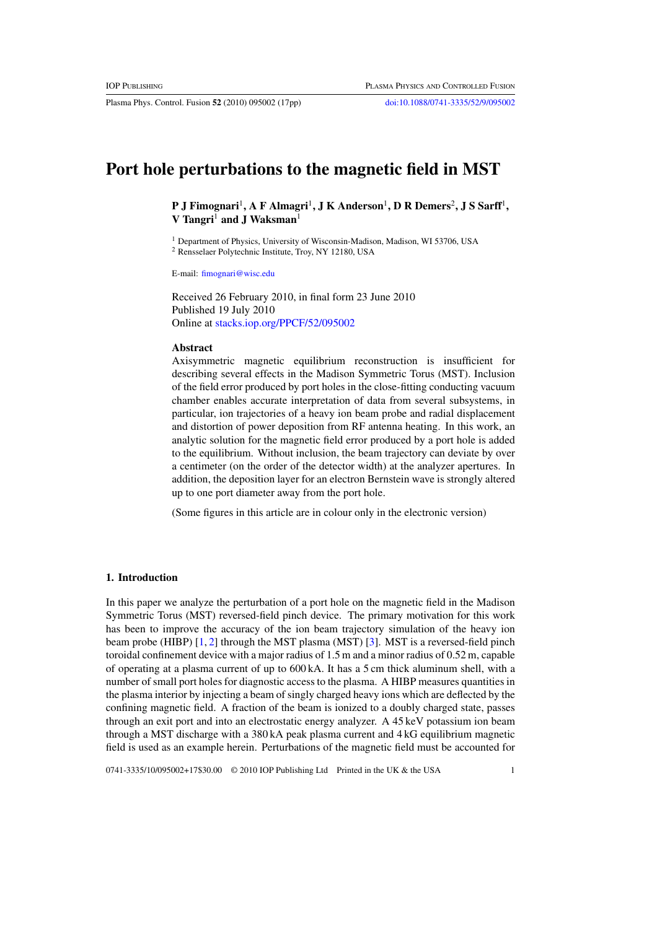Plasma Phys. Control. Fusion **52** (2010) 095002 (17pp) [doi:10.1088/0741-3335/52/9/095002](http://dx.doi.org/10.1088/0741-3335/52/9/095002)

# **Port hole perturbations to the magnetic field in MST**

**P J Fimognari**<sup>1</sup>**, A F Almagri**<sup>1</sup>**, J K Anderson**<sup>1</sup>**, D R Demers**<sup>2</sup>**, J S Sarff**<sup>1</sup>**, V** Tangri<sup>1</sup> and **J** Waksman<sup>1</sup>

<sup>1</sup> Department of Physics, University of Wisconsin-Madison, Madison, WI 53706, USA <sup>2</sup> Rensselaer Polytechnic Institute, Troy, NY 12180, USA

E-mail: fimognari@wisc.edu

Received 26 February 2010, in final form 23 June 2010 Published 19 July 2010 Online at [stacks.iop.org/PPCF/52/095002](http://stacks.iop.org/PPCF/52/095002)

#### **Abstract**

Axisymmetric magnetic equilibrium reconstruction is insufficient for describing several effects in the Madison Symmetric Torus (MST). Inclusion of the field error produced by port holes in the close-fitting conducting vacuum chamber enables accurate interpretation of data from several subsystems, in particular, ion trajectories of a heavy ion beam probe and radial displacement and distortion of power deposition from RF antenna heating. In this work, an analytic solution for the magnetic field error produced by a port hole is added to the equilibrium. Without inclusion, the beam trajectory can deviate by over a centimeter (on the order of the detector width) at the analyzer apertures. In addition, the deposition layer for an electron Bernstein wave is strongly altered up to one port diameter away from the port hole.

(Some figures in this article are in colour only in the electronic version)

## **1. Introduction**

In this paper we analyze the perturbation of a port hole on the magnetic field in the Madison Symmetric Torus (MST) reversed-field pinch device. The primary motivation for this work has been to improve the accuracy of the ion beam trajectory simulation of the heavy ion beam probe (HIBP)  $[1, 2]$  $[1, 2]$  $[1, 2]$  through the MST plasma (MST)  $[3]$ . MST is a reversed-field pinch toroidal confinement device with a major radius of 1.5 m and a minor radius of 0.52 m, capable of operating at a plasma current of up to 600 kA. It has a 5 cm thick aluminum shell, with a number of small port holes for diagnostic access to the plasma. A HIBP measures quantities in the plasma interior by injecting a beam of singly charged heavy ions which are deflected by the confining magnetic field. A fraction of the beam is ionized to a doubly charged state, passes through an exit port and into an electrostatic energy analyzer. A 45 keV potassium ion beam through a MST discharge with a 380 kA peak plasma current and 4 kG equilibrium magnetic field is used as an example herein. Perturbations of the magnetic field must be accounted for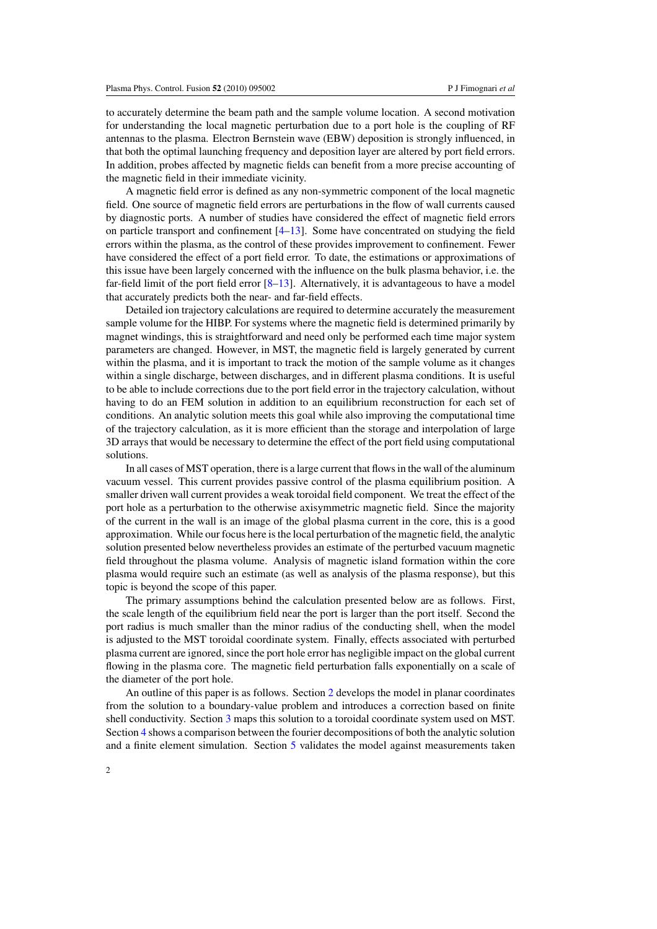to accurately determine the beam path and the sample volume location. A second motivation for understanding the local magnetic perturbation due to a port hole is the coupling of RF antennas to the plasma. Electron Bernstein wave (EBW) deposition is strongly influenced, in that both the optimal launching frequency and deposition layer are altered by port field errors. In addition, probes affected by magnetic fields can benefit from a more precise accounting of the magnetic field in their immediate vicinity.

A magnetic field error is defined as any non-symmetric component of the local magnetic field. One source of magnetic field errors are perturbations in the flow of wall currents caused by diagnostic ports. A number of studies have considered the effect of magnetic field errors on particle transport and confinement [\[4–13\]](#page-16-0). Some have concentrated on studying the field errors within the plasma, as the control of these provides improvement to confinement. Fewer have considered the effect of a port field error. To date, the estimations or approximations of this issue have been largely concerned with the influence on the bulk plasma behavior, i.e. the far-field limit of the port field error  $[8-13]$ . Alternatively, it is advantageous to have a model that accurately predicts both the near- and far-field effects.

Detailed ion trajectory calculations are required to determine accurately the measurement sample volume for the HIBP. For systems where the magnetic field is determined primarily by magnet windings, this is straightforward and need only be performed each time major system parameters are changed. However, in MST, the magnetic field is largely generated by current within the plasma, and it is important to track the motion of the sample volume as it changes within a single discharge, between discharges, and in different plasma conditions. It is useful to be able to include corrections due to the port field error in the trajectory calculation, without having to do an FEM solution in addition to an equilibrium reconstruction for each set of conditions. An analytic solution meets this goal while also improving the computational time of the trajectory calculation, as it is more efficient than the storage and interpolation of large 3D arrays that would be necessary to determine the effect of the port field using computational solutions.

In all cases of MST operation, there is a large current that flows in the wall of the aluminum vacuum vessel. This current provides passive control of the plasma equilibrium position. A smaller driven wall current provides a weak toroidal field component. We treat the effect of the port hole as a perturbation to the otherwise axisymmetric magnetic field. Since the majority of the current in the wall is an image of the global plasma current in the core, this is a good approximation. While our focus here is the local perturbation of the magnetic field, the analytic solution presented below nevertheless provides an estimate of the perturbed vacuum magnetic field throughout the plasma volume. Analysis of magnetic island formation within the core plasma would require such an estimate (as well as analysis of the plasma response), but this topic is beyond the scope of this paper.

The primary assumptions behind the calculation presented below are as follows. First, the scale length of the equilibrium field near the port is larger than the port itself. Second the port radius is much smaller than the minor radius of the conducting shell, when the model is adjusted to the MST toroidal coordinate system. Finally, effects associated with perturbed plasma current are ignored, since the port hole error has negligible impact on the global current flowing in the plasma core. The magnetic field perturbation falls exponentially on a scale of the diameter of the port hole.

An outline of this paper is as follows. Section [2](#page-2-0) develops the model in planar coordinates from the solution to a boundary-value problem and introduces a correction based on finite shell conductivity. Section [3](#page-4-0) maps this solution to a toroidal coordinate system used on MST. Section [4](#page-7-0) shows a comparison between the fourier decompositions of both the analytic solution and a finite element simulation. Section [5](#page-8-0) validates the model against measurements taken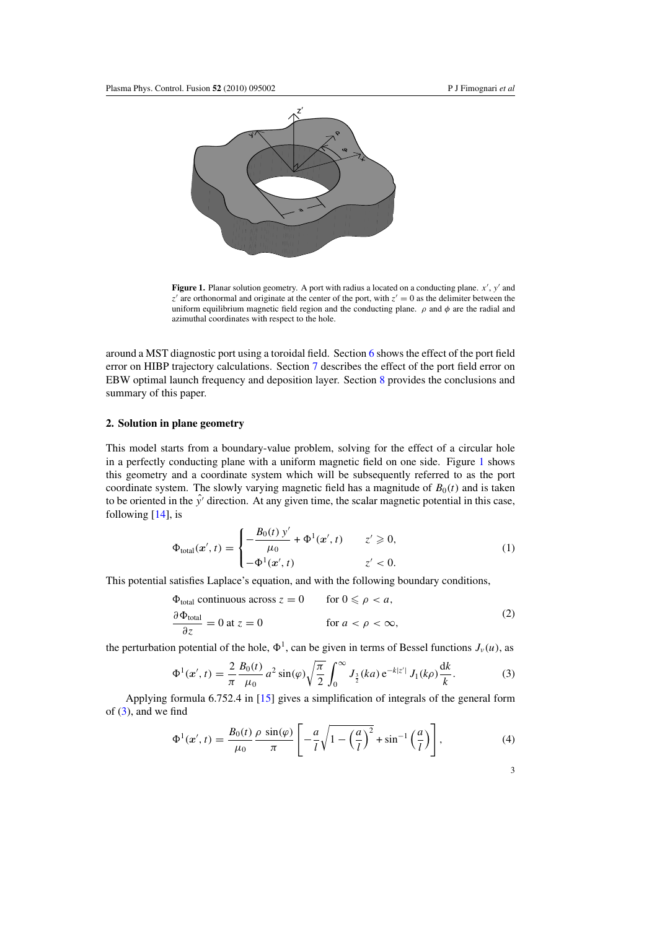<span id="page-2-0"></span>

**Figure 1.** Planar solution geometry. A port with radius a located on a conducting plane.  $x'$ ,  $y'$  and  $z'$  are orthonormal and originate at the center of the port, with  $z' = 0$  as the delimiter between the uniform equilibrium magnetic field region and the conducting plane.  $\rho$  and  $\phi$  are the radial and azimuthal coordinates with respect to the hole.

around a MST diagnostic port using a toroidal field. Section [6](#page-9-0) shows the effect of the port field error on HIBP trajectory calculations. Section [7](#page-13-0) describes the effect of the port field error on EBW optimal launch frequency and deposition layer. Section [8](#page-15-0) provides the conclusions and summary of this paper.

## **2. Solution in plane geometry**

This model starts from a boundary-value problem, solving for the effect of a circular hole in a perfectly conducting plane with a uniform magnetic field on one side. Figure 1 shows this geometry and a coordinate system which will be subsequently referred to as the port coordinate system. The slowly varying magnetic field has a magnitude of  $B_0(t)$  and is taken to be oriented in the  $\hat{y}$  direction. At any given time, the scalar magnetic potential in this case, following [\[14\]](#page-16-0), is

$$
\Phi_{\text{total}}(x',t) = \begin{cases}\n-\frac{B_0(t) y'}{\mu_0} + \Phi^1(x',t) & z' \geq 0, \\
-\Phi^1(x',t) & z' < 0.\n\end{cases}
$$
\n(1)

This potential satisfies Laplace's equation, and with the following boundary conditions,

$$
\Phi_{\text{total}} \text{ continuous across } z = 0 \qquad \text{for } 0 \leq \rho < a,
$$
\n
$$
\frac{\partial \Phi_{\text{total}}}{\partial z} = 0 \text{ at } z = 0 \qquad \qquad \text{for } a < \rho < \infty,
$$
\n
$$
(2)
$$

the perturbation potential of the hole,  $\Phi^1$ , can be given in terms of Bessel functions  $J_\nu(u)$ , as

$$
\Phi^1(x',t) = \frac{2}{\pi} \frac{B_0(t)}{\mu_0} a^2 \sin(\varphi) \sqrt{\frac{\pi}{2}} \int_0^\infty J_{\frac{3}{2}}(ka) e^{-k|z'|} J_1(k\rho) \frac{dk}{k}.
$$
 (3)

Applying formula 6.752.4 in [\[15\]](#page-16-0) gives a simplification of integrals of the general form of  $(3)$ , and we find

$$
\Phi^1(\mathbf{x}',t) = \frac{B_0(t)}{\mu_0} \frac{\rho \sin(\varphi)}{\pi} \left[ -\frac{a}{l} \sqrt{1 - \left(\frac{a}{l}\right)^2} + \sin^{-1}\left(\frac{a}{l}\right) \right],\tag{4}
$$

3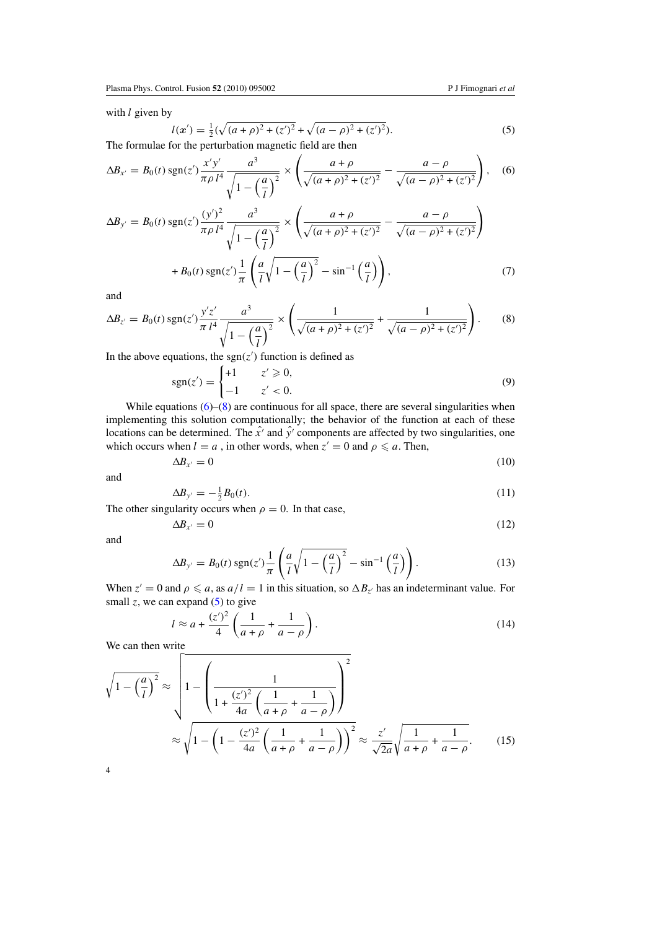<span id="page-3-0"></span>with  $l$  given by

$$
l(x') = \frac{1}{2}(\sqrt{(a+\rho)^2 + (z')^2} + \sqrt{(a-\rho)^2 + (z')^2}).
$$
\n(5)

\nfor the particular means the field on the

The formulae for the perturbation magnetic field are then

$$
\Delta B_{x'} = B_0(t) \operatorname{sgn}(z') \frac{x'y'}{\pi \rho l^4} \frac{a^3}{\sqrt{1 - \left(\frac{a}{l}\right)^2}} \times \left(\frac{a + \rho}{\sqrt{(a + \rho)^2 + (z')^2}} - \frac{a - \rho}{\sqrt{(a - \rho)^2 + (z')^2}}\right), \quad (6)
$$

$$
\Delta B_{y'} = B_0(t) \operatorname{sgn}(z') \frac{(y')^2}{\pi \rho l^4} \frac{a^3}{\sqrt{1 - \left(\frac{a}{l}\right)^2}} \times \left(\frac{a + \rho}{\sqrt{(a + \rho)^2 + (z')^2}} - \frac{a - \rho}{\sqrt{(a - \rho)^2 + (z')^2}}\right) + B_0(t) \operatorname{sgn}(z') \frac{1}{\pi} \left(\frac{a}{l} \sqrt{1 - \left(\frac{a}{l}\right)^2} - \sin^{-1}\left(\frac{a}{l}\right)\right),\tag{7}
$$

and

$$
\Delta B_{z'} = B_0(t) \operatorname{sgn}(z') \frac{y'z'}{\pi l^4} \frac{a^3}{\sqrt{1 - \left(\frac{a}{l}\right)^2}} \times \left(\frac{1}{\sqrt{(a+\rho)^2 + (z')^2}} + \frac{1}{\sqrt{(a-\rho)^2 + (z')^2}}\right). \tag{8}
$$

In the above equations, the sgn( $z'$ ) function is defined as

$$
sgn(z') = \begin{cases} +1 & z' \geq 0, \\ -1 & z' < 0. \end{cases}
$$
 (9)

While equations  $(6)$ – $(8)$  are continuous for all space, there are several singularities when implementing this solution computationally; the behavior of the function at each of these locations can be determined. The  $\hat{x'}$  and  $\hat{y'}$  components are affected by two singularities, one which occurs when  $l = a$ , in other words, when  $z' = 0$  and  $\rho \leq a$ . Then,

$$
\Delta B_{x'} = 0 \tag{10}
$$

and

$$
\Delta B_{y'} = -\frac{1}{2}B_0(t). \tag{11}
$$

The other singularity occurs when  $\rho = 0$ . In that case,

$$
\Delta B_{x'} = 0 \tag{12}
$$

and

$$
\Delta B_{y'} = B_0(t) \operatorname{sgn}(z') \frac{1}{\pi} \left( \frac{a}{l} \sqrt{1 - \left(\frac{a}{l}\right)^2} - \sin^{-1}\left(\frac{a}{l}\right) \right). \tag{13}
$$

When  $z' = 0$  and  $\rho \le a$ , as  $a/l = 1$  in this situation, so  $\Delta B_{z'}$  has an indeterminant value. For small z, we can expand  $(5)$  to give

$$
l \approx a + \frac{(z')^2}{4} \left( \frac{1}{a+\rho} + \frac{1}{a-\rho} \right). \tag{14}
$$

We can then write

$$
\sqrt{1 - \left(\frac{a}{l}\right)^2} \approx \sqrt{1 - \left(\frac{1}{1 + \frac{(z')^2}{4a} \left(\frac{1}{a + \rho} + \frac{1}{a - \rho}\right)}\right)^2}
$$

$$
\approx \sqrt{1 - \left(1 - \frac{(z')^2}{4a} \left(\frac{1}{a + \rho} + \frac{1}{a - \rho}\right)\right)^2} \approx \frac{z'}{\sqrt{2a}} \sqrt{\frac{1}{a + \rho} + \frac{1}{a - \rho}}.
$$
(15)

4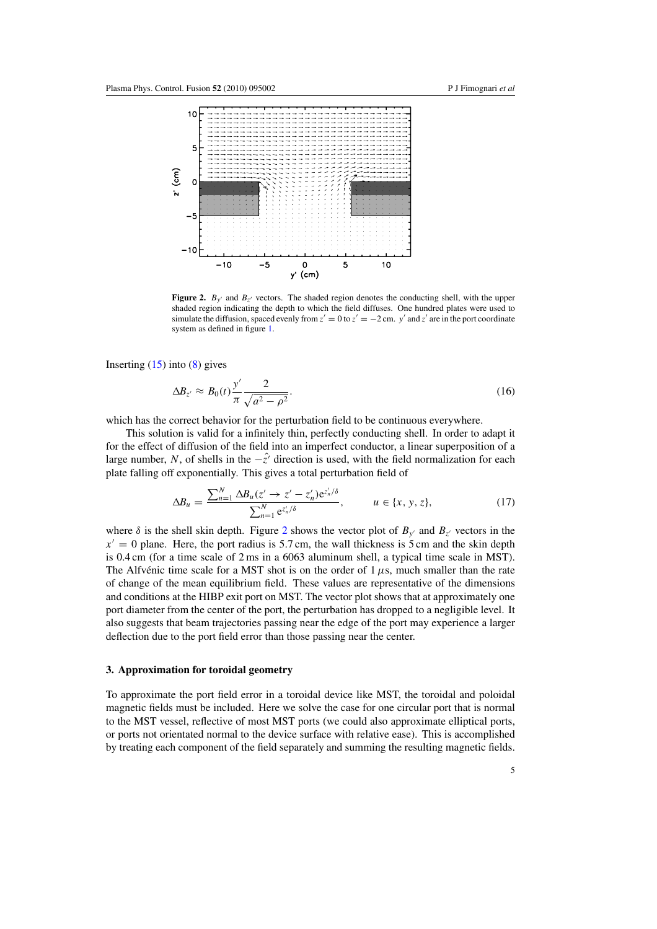<span id="page-4-0"></span>

**Figure 2.**  $B_{y'}$  and  $B_{z'}$  vectors. The shaded region denotes the conducting shell, with the upper shaded region indicating the depth to which the field diffuses. One hundred plates were used to simulate the diffusion, spaced evenly from  $z' = 0$  to  $z' = -2$  cm. y' and z' are in the port coordinate system as defined in figure [1.](#page-2-0)

Inserting  $(15)$  into  $(8)$  gives

$$
\Delta B_{z'} \approx B_0(t) \frac{y'}{\pi} \frac{2}{\sqrt{a^2 - \rho^2}}.
$$
\n(16)

which has the correct behavior for the perturbation field to be continuous everywhere.

This solution is valid for a infinitely thin, perfectly conducting shell. In order to adapt it for the effect of diffusion of the field into an imperfect conductor, a linear superposition of a large number, N, of shells in the  $-\hat{z}$ ' direction is used, with the field normalization for each plate falling off exponentially. This gives a total perturbation field of

$$
\Delta B_u = \frac{\sum_{n=1}^N \Delta B_u(z' \to z' - z'_n) e^{z'_n/\delta}}{\sum_{n=1}^N e^{z'_n/\delta}}, \qquad u \in \{x, y, z\},\tag{17}
$$

where  $\delta$  is the shell skin depth. Figure 2 shows the vector plot of  $B_{y'}$  and  $B_{z'}$  vectors in the  $x' = 0$  plane. Here, the port radius is 5.7 cm, the wall thickness is 5 cm and the skin depth is 0.4 cm (for a time scale of 2 ms in a 6063 aluminum shell, a typical time scale in MST). The Alfvenic time scale for a MST shot is on the order of  $1 \mu s$ , much smaller than the rate of change of the mean equilibrium field. These values are representative of the dimensions and conditions at the HIBP exit port on MST. The vector plot shows that at approximately one port diameter from the center of the port, the perturbation has dropped to a negligible level. It also suggests that beam trajectories passing near the edge of the port may experience a larger deflection due to the port field error than those passing near the center.

#### **3. Approximation for toroidal geometry**

To approximate the port field error in a toroidal device like MST, the toroidal and poloidal magnetic fields must be included. Here we solve the case for one circular port that is normal to the MST vessel, reflective of most MST ports (we could also approximate elliptical ports, or ports not orientated normal to the device surface with relative ease). This is accomplished by treating each component of the field separately and summing the resulting magnetic fields.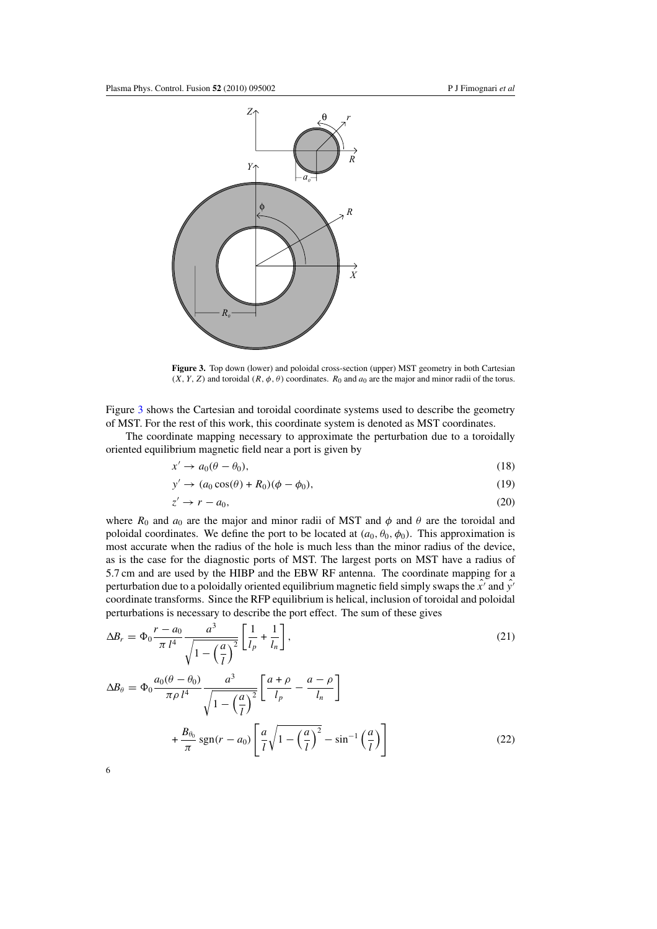<span id="page-5-0"></span>

**Figure 3.** Top down (lower) and poloidal cross-section (upper) MST geometry in both Cartesian  $(X, Y, Z)$  and toroidal  $(R, \phi, \theta)$  coordinates.  $R_0$  and  $a_0$  are the major and minor radii of the torus.

Figure 3 shows the Cartesian and toroidal coordinate systems used to describe the geometry of MST. For the rest of this work, this coordinate system is denoted as MST coordinates.

The coordinate mapping necessary to approximate the perturbation due to a toroidally oriented equilibrium magnetic field near a port is given by

$$
x' \to a_0(\theta - \theta_0),\tag{18}
$$

 $y' \to (a_0 \cos(\theta) + R_0)(\phi - \phi_0),$  (19)

$$
z' \to r - a_0,\tag{20}
$$

where  $R_0$  and  $a_0$  are the major and minor radii of MST and  $\phi$  and  $\theta$  are the toroidal and poloidal coordinates. We define the port to be located at  $(a_0, \theta_0, \phi_0)$ . This approximation is most accurate when the radius of the hole is much less than the minor radius of the device, as is the case for the diagnostic ports of MST. The largest ports on MST have a radius of 5.7 cm and are used by the HIBP and the EBW RF antenna. The coordinate mapping for a perturbation due to a poloidally oriented equilibrium magnetic field simply swaps the  $\hat{x'}$  and  $\hat{y'}$ coordinate transforms. Since the RFP equilibrium is helical, inclusion of toroidal and poloidal perturbations is necessary to describe the port effect. The sum of these gives

$$
\Delta B_r = \Phi_0 \frac{r - a_0}{\pi l^4} \frac{a^3}{\sqrt{1 - \left(\frac{a}{l}\right)^2}} \left[ \frac{1}{l_p} + \frac{1}{l_n} \right],\tag{21}
$$

$$
\Delta B_{\theta} = \Phi_0 \frac{a_0(\theta - \theta_0)}{\pi \rho l^4} \frac{a^3}{\sqrt{1 - \left(\frac{a}{l}\right)^2}} \left[ \frac{a + \rho}{l_p} - \frac{a - \rho}{l_n} \right] + \frac{B_{\theta_0}}{\pi} \operatorname{sgn}(r - a_0) \left[ \frac{a}{l} \sqrt{1 - \left(\frac{a}{l}\right)^2} - \sin^{-1}\left(\frac{a}{l}\right) \right]
$$
(22)

6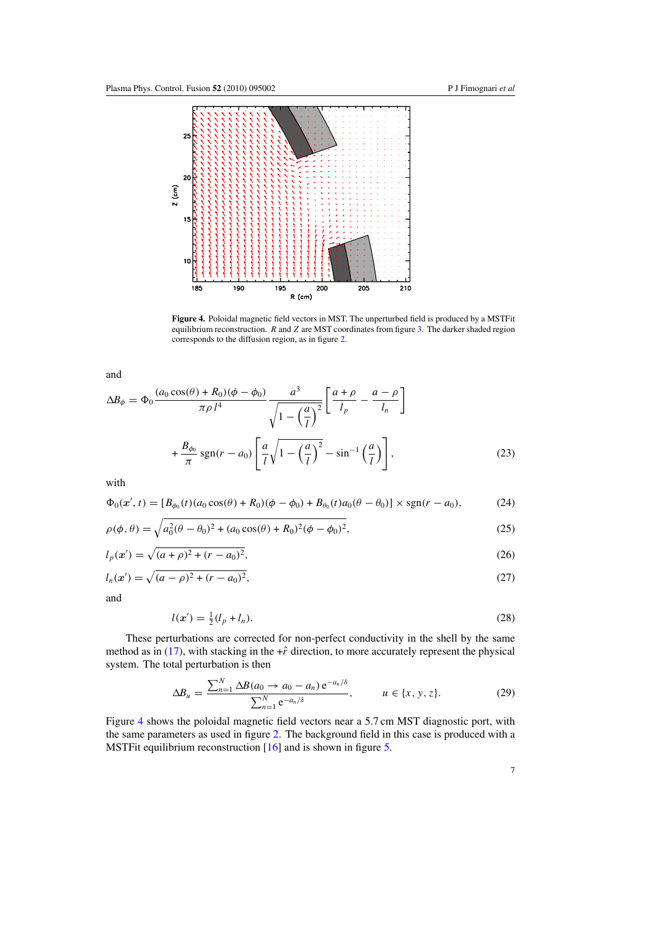<span id="page-6-0"></span>

**Figure 4.** Poloidal magnetic field vectors in MST. The unperturbed field is produced by a MSTFit equilibrium reconstruction. R and Z are MST coordinates from figure [3.](#page-5-0) The darker shaded region corresponds to the diffusion region, as in figure [2.](#page-4-0)

and

$$
\Delta B_{\phi} = \Phi_0 \frac{(a_0 \cos(\theta) + R_0)(\phi - \phi_0)}{\pi \rho l^4} \frac{a^3}{\sqrt{1 - \left(\frac{a}{l}\right)^2}} \left[ \frac{a + \rho}{l_p} - \frac{a - \rho}{l_n} \right]
$$

$$
+ \frac{B_{\phi_0}}{\pi} \operatorname{sgn}(r - a_0) \left[ \frac{a}{l} \sqrt{1 - \left(\frac{a}{l}\right)^2} - \sin^{-1}\left(\frac{a}{l}\right) \right],
$$
(23)

with

$$
\Phi_0(x',t) = [B_{\phi_0}(t)(a_0 \cos(\theta) + R_0)(\phi - \phi_0) + B_{\theta_0}(t)a_0(\theta - \theta_0)] \times \text{sgn}(r - a_0),\tag{24}
$$

$$
\rho(\phi,\theta) = \sqrt{a_0^2(\theta - \theta_0)^2 + (a_0 \cos(\theta) + R_0)^2(\phi - \phi_0)^2},
$$
\n(25)

$$
l_p(x') = \sqrt{(a+\rho)^2 + (r-a_0)^2},\tag{26}
$$

$$
l_n(x') = \sqrt{(a - \rho)^2 + (r - a_0)^2},
$$
\n(27)

and

$$
l(x') = \frac{1}{2}(l_p + l_n). \tag{28}
$$

These perturbations are corrected for non-perfect conductivity in the shell by the same method as in [\(17\)](#page-4-0), with stacking in the  $+\hat{r}$  direction, to more accurately represent the physical system. The total perturbation is then

$$
\Delta B_u = \frac{\sum_{n=1}^N \Delta B(a_0 \to a_0 - a_n) e^{-a_n/\delta}}{\sum_{n=1}^N e^{-a_n/\delta}}, \qquad u \in \{x, y, z\}.
$$
 (29)

Figure 4 shows the poloidal magnetic field vectors near a 5.7 cm MST diagnostic port, with the same parameters as used in figure [2.](#page-4-0) The background field in this case is produced with a MSTFit equilibrium reconstruction [\[16\]](#page-16-0) and is shown in figure [5.](#page-7-0)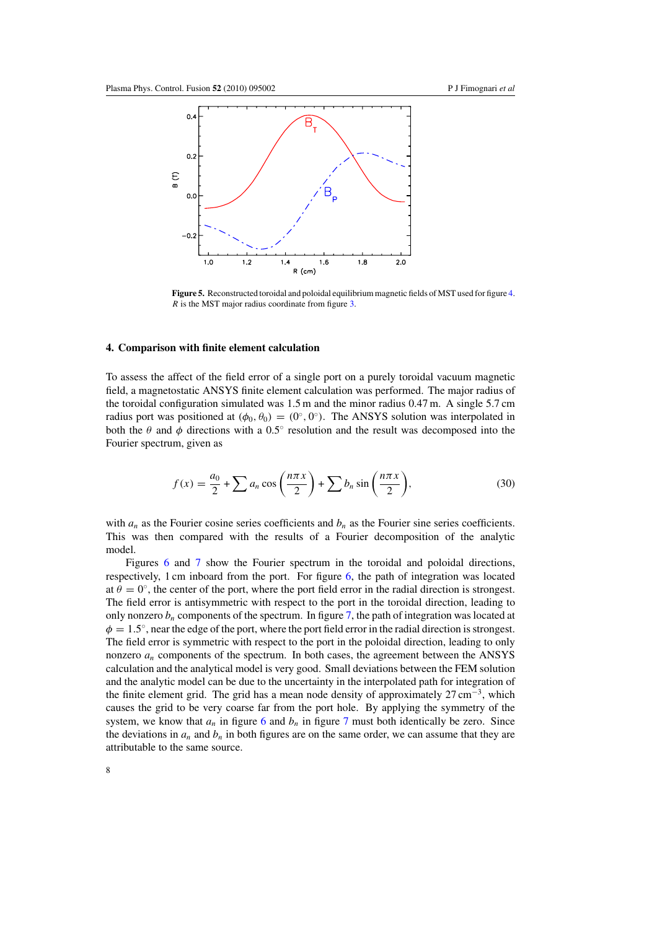<span id="page-7-0"></span>

**Figure 5.** Reconstructed toroidal and poloidal equilibrium magnetic fields of MST used for figure [4.](#page-6-0) R is the MST major radius coordinate from figure [3.](#page-5-0)

#### **4. Comparison with finite element calculation**

To assess the affect of the field error of a single port on a purely toroidal vacuum magnetic field, a magnetostatic ANSYS finite element calculation was performed. The major radius of the toroidal configuration simulated was 1.5 m and the minor radius 0.47 m. A single 5.7 cm radius port was positioned at  $(\phi_0, \theta_0) = (0^\circ, 0^\circ)$ . The ANSYS solution was interpolated in both the  $\theta$  and  $\phi$  directions with a 0.5° resolution and the result was decomposed into the Fourier spectrum, given as

$$
f(x) = \frac{a_0}{2} + \sum a_n \cos\left(\frac{n\pi x}{2}\right) + \sum b_n \sin\left(\frac{n\pi x}{2}\right),\tag{30}
$$

with  $a_n$  as the Fourier cosine series coefficients and  $b_n$  as the Fourier sine series coefficients. This was then compared with the results of a Fourier decomposition of the analytic model.

Figures [6](#page-8-0) and [7](#page-9-0) show the Fourier spectrum in the toroidal and poloidal directions, respectively, 1 cm inboard from the port. For figure [6,](#page-8-0) the path of integration was located at  $\theta = 0^\circ$ , the center of the port, where the port field error in the radial direction is strongest. The field error is antisymmetric with respect to the port in the toroidal direction, leading to only nonzero  $b_n$  components of the spectrum. In figure [7,](#page-9-0) the path of integration was located at  $\phi = 1.5^{\circ}$ , near the edge of the port, where the port field error in the radial direction is strongest. The field error is symmetric with respect to the port in the poloidal direction, leading to only nonzero  $a_n$  components of the spectrum. In both cases, the agreement between the ANSYS calculation and the analytical model is very good. Small deviations between the FEM solution and the analytic model can be due to the uncertainty in the interpolated path for integration of the finite element grid. The grid has a mean node density of approximately  $27 \text{ cm}^{-3}$ , which causes the grid to be very coarse far from the port hole. By applying the symmetry of the system, we know that  $a_n$  in figure [6](#page-8-0) and  $b_n$  in figure [7](#page-9-0) must both identically be zero. Since the deviations in  $a_n$  and  $b_n$  in both figures are on the same order, we can assume that they are attributable to the same source.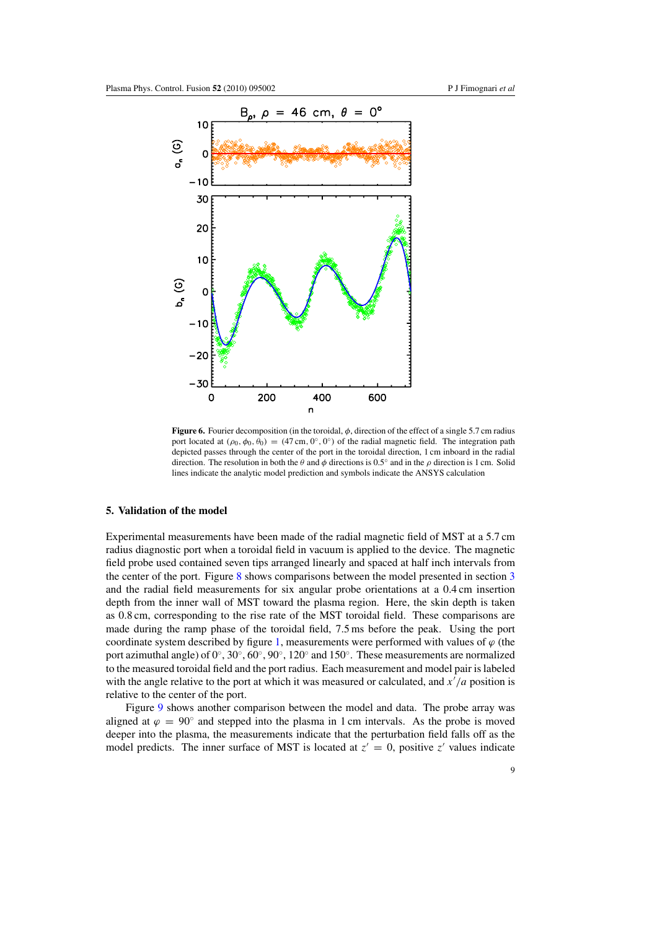<span id="page-8-0"></span>

**Figure 6.** Fourier decomposition (in the toroidal, φ, direction of the effect of a single 5.7 cm radius port located at  $(\rho_0, \phi_0, \theta_0) = (47 \text{ cm}, 0^\circ, 0^\circ)$  of the radial magnetic field. The integration path depicted passes through the center of the port in the toroidal direction, 1 cm inboard in the radial direction. The resolution in both the  $\theta$  and  $\phi$  directions is 0.5° and in the  $\rho$  direction is 1 cm. Solid lines indicate the analytic model prediction and symbols indicate the ANSYS calculation

#### **5. Validation of the model**

Experimental measurements have been made of the radial magnetic field of MST at a 5.7 cm radius diagnostic port when a toroidal field in vacuum is applied to the device. The magnetic field probe used contained seven tips arranged linearly and spaced at half inch intervals from the center of the port. Figure [8](#page-10-0) shows comparisons between the model presented in section [3](#page-4-0) and the radial field measurements for six angular probe orientations at a 0.4 cm insertion depth from the inner wall of MST toward the plasma region. Here, the skin depth is taken as 0.8 cm, corresponding to the rise rate of the MST toroidal field. These comparisons are made during the ramp phase of the toroidal field, 7.5 ms before the peak. Using the port coordinate system described by figure [1,](#page-2-0) measurements were performed with values of  $\varphi$  (the port azimuthal angle) of 0◦, 30◦, 60◦, 90◦, 120◦ and 150◦. These measurements are normalized to the measured toroidal field and the port radius. Each measurement and model pair is labeled with the angle relative to the port at which it was measured or calculated, and  $x'/a$  position is relative to the center of the port.

Figure [9](#page-10-0) shows another comparison between the model and data. The probe array was aligned at  $\varphi = 90^\circ$  and stepped into the plasma in 1 cm intervals. As the probe is moved deeper into the plasma, the measurements indicate that the perturbation field falls off as the model predicts. The inner surface of MST is located at  $z' = 0$ , positive z' values indicate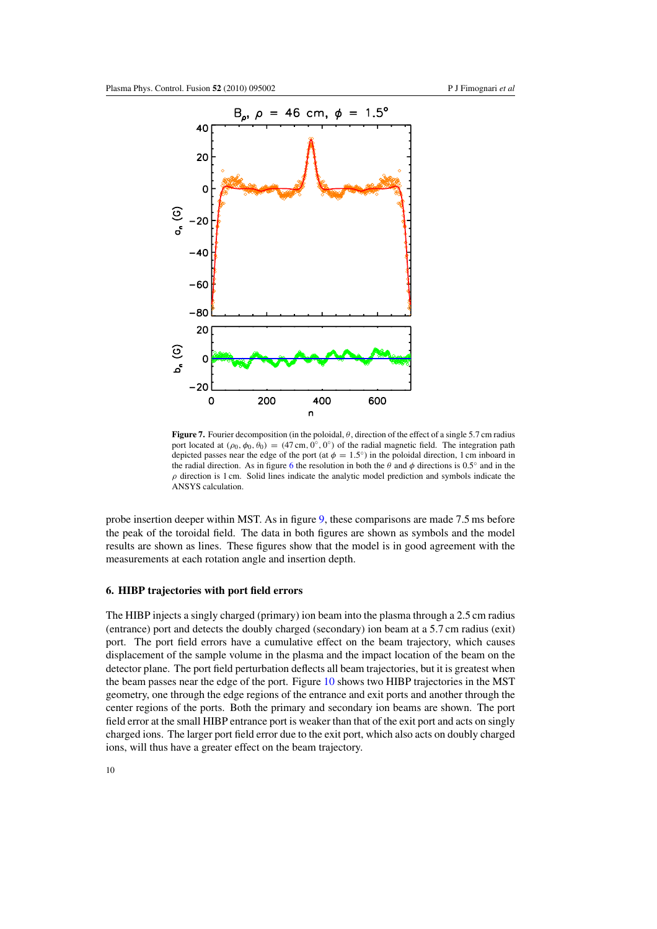<span id="page-9-0"></span>

**Figure 7.** Fourier decomposition (in the poloidal, θ, direction of the effect of a single 5.7 cm radius port located at  $(\rho_0, \phi_0, \theta_0) = (47 \text{ cm}, 0^\circ, 0^\circ)$  of the radial magnetic field. The integration path depicted passes near the edge of the port (at  $\phi = 1.5^{\circ}$ ) in the poloidal direction, 1 cm inboard in the radial direction. As in figure [6](#page-8-0) the resolution in both the  $\theta$  and  $\phi$  directions is 0.5° and in the  $\rho$  direction is 1 cm. Solid lines indicate the analytic model prediction and symbols indicate the ANSYS calculation.

probe insertion deeper within MST. As in figure [9,](#page-10-0) these comparisons are made 7.5 ms before the peak of the toroidal field. The data in both figures are shown as symbols and the model results are shown as lines. These figures show that the model is in good agreement with the measurements at each rotation angle and insertion depth.

## **6. HIBP trajectories with port field errors**

The HIBP injects a singly charged (primary) ion beam into the plasma through a 2.5 cm radius (entrance) port and detects the doubly charged (secondary) ion beam at a 5.7 cm radius (exit) port. The port field errors have a cumulative effect on the beam trajectory, which causes displacement of the sample volume in the plasma and the impact location of the beam on the detector plane. The port field perturbation deflects all beam trajectories, but it is greatest when the beam passes near the edge of the port. Figure [10](#page-11-0) shows two HIBP trajectories in the MST geometry, one through the edge regions of the entrance and exit ports and another through the center regions of the ports. Both the primary and secondary ion beams are shown. The port field error at the small HIBP entrance port is weaker than that of the exit port and acts on singly charged ions. The larger port field error due to the exit port, which also acts on doubly charged ions, will thus have a greater effect on the beam trajectory.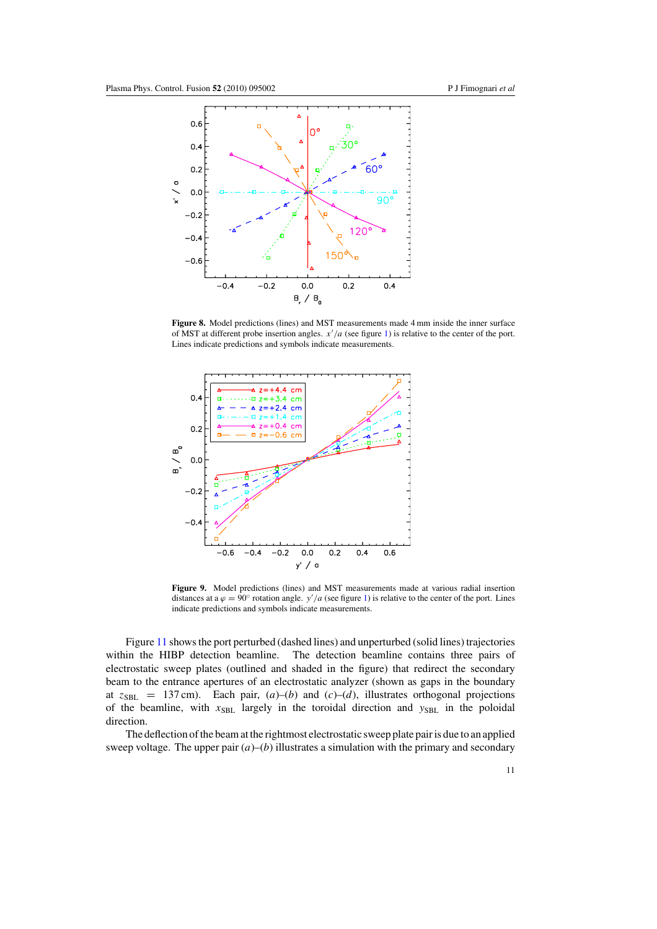<span id="page-10-0"></span>

**Figure 8.** Model predictions (lines) and MST measurements made 4 mm inside the inner surface of MST at different probe insertion angles.  $x'/a$  (see figure [1\)](#page-2-0) is relative to the center of the port. Lines indicate predictions and symbols indicate measurements.



**Figure 9.** Model predictions (lines) and MST measurements made at various radial insertion distances at a  $\varphi = 90^\circ$  rotation angle.  $y'/a$  (see figure [1\)](#page-2-0) is relative to the center of the port. Lines indicate predictions and symbols indicate measurements.

Figure [11](#page-12-0) shows the port perturbed (dashed lines) and unperturbed (solid lines) trajectories within the HIBP detection beamline. The detection beamline contains three pairs of electrostatic sweep plates (outlined and shaded in the figure) that redirect the secondary beam to the entrance apertures of an electrostatic analyzer (shown as gaps in the boundary at  $z_{SBL}$  = 137 cm). Each pair, (a)–(b) and (c)–(d), illustrates orthogonal projections of the beamline, with  $x<sub>SBL</sub>$  largely in the toroidal direction and  $y<sub>SBL</sub>$  in the poloidal direction.

The deflection of the beam at the rightmost electrostatic sweep plate pair is due to an applied sweep voltage. The upper pair  $(a)$ – $(b)$  illustrates a simulation with the primary and secondary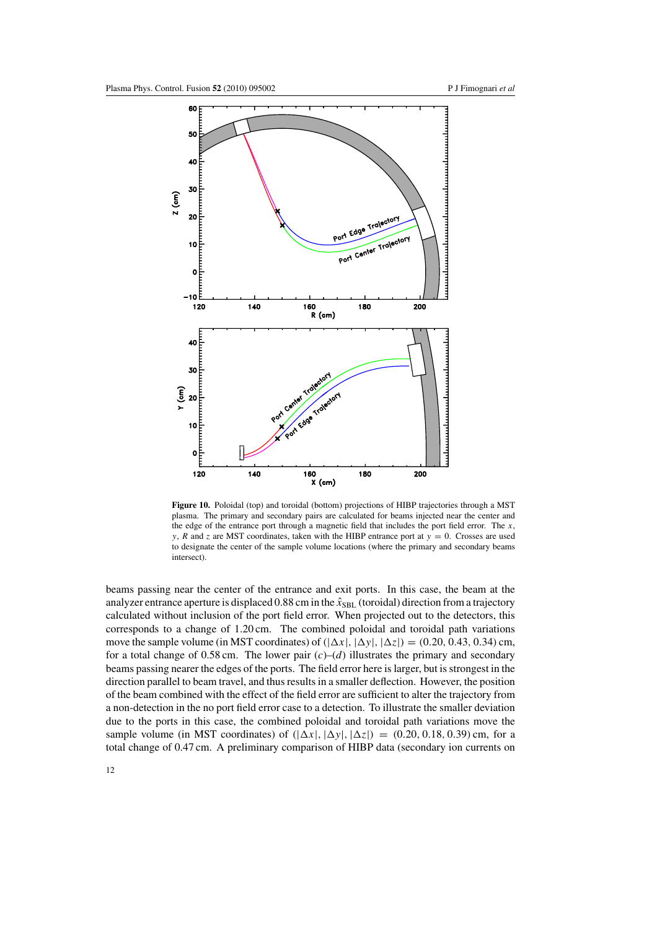<span id="page-11-0"></span>

**Figure 10.** Poloidal (top) and toroidal (bottom) projections of HIBP trajectories through a MST plasma. The primary and secondary pairs are calculated for beams injected near the center and the edge of the entrance port through a magnetic field that includes the port field error. The  $x$ , y, R and z are MST coordinates, taken with the HIBP entrance port at  $y = 0$ . Crosses are used to designate the center of the sample volume locations (where the primary and secondary beams intersect).

beams passing near the center of the entrance and exit ports. In this case, the beam at the analyzer entrance aperture is displaced 0.88 cm in the  $\hat{x}_{SBL}$  (toroidal) direction from a trajectory calculated without inclusion of the port field error. When projected out to the detectors, this corresponds to a change of 1.20 cm. The combined poloidal and toroidal path variations move the sample volume (in MST coordinates) of  $(|\Delta x|, |\Delta y|, |\Delta z|) = (0.20, 0.43, 0.34)$  cm, for a total change of 0.58 cm. The lower pair  $(c)-(d)$  illustrates the primary and secondary beams passing nearer the edges of the ports. The field error here is larger, but is strongest in the direction parallel to beam travel, and thus results in a smaller deflection. However, the position of the beam combined with the effect of the field error are sufficient to alter the trajectory from a non-detection in the no port field error case to a detection. To illustrate the smaller deviation due to the ports in this case, the combined poloidal and toroidal path variations move the sample volume (in MST coordinates) of  $(|\Delta x|, |\Delta y|, |\Delta z|) = (0.20, 0.18, 0.39)$  cm, for a total change of 0.47 cm. A preliminary comparison of HIBP data (secondary ion currents on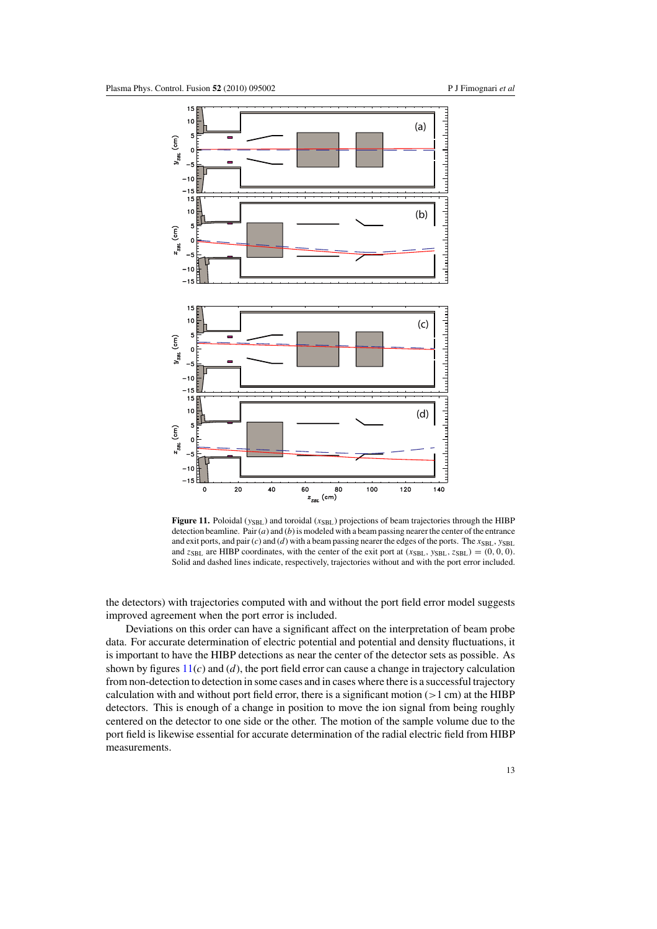<span id="page-12-0"></span>

**Figure 11.** Poloidal ( $y_{SBL}$ ) and toroidal ( $x_{SBL}$ ) projections of beam trajectories through the HIBP detection beamline. Pair  $(a)$  and  $(b)$  is modeled with a beam passing nearer the center of the entrance and exit ports, and pair  $(c)$  and  $(d)$  with a beam passing nearer the edges of the ports. The  $x_{SBL}$ ,  $y_{SBL}$ and  $z_{SBL}$  are HIBP coordinates, with the center of the exit port at  $(x_{SBL}, y_{SBL}, z_{SBL}) = (0, 0, 0)$ . Solid and dashed lines indicate, respectively, trajectories without and with the port error included.

the detectors) with trajectories computed with and without the port field error model suggests improved agreement when the port error is included.

Deviations on this order can have a significant affect on the interpretation of beam probe data. For accurate determination of electric potential and potential and density fluctuations, it is important to have the HIBP detections as near the center of the detector sets as possible. As shown by figures  $11(c)$  and (d), the port field error can cause a change in trajectory calculation from non-detection to detection in some cases and in cases where there is a successful trajectory calculation with and without port field error, there is a significant motion  $(>1 \text{ cm})$  at the HIBP detectors. This is enough of a change in position to move the ion signal from being roughly centered on the detector to one side or the other. The motion of the sample volume due to the port field is likewise essential for accurate determination of the radial electric field from HIBP measurements.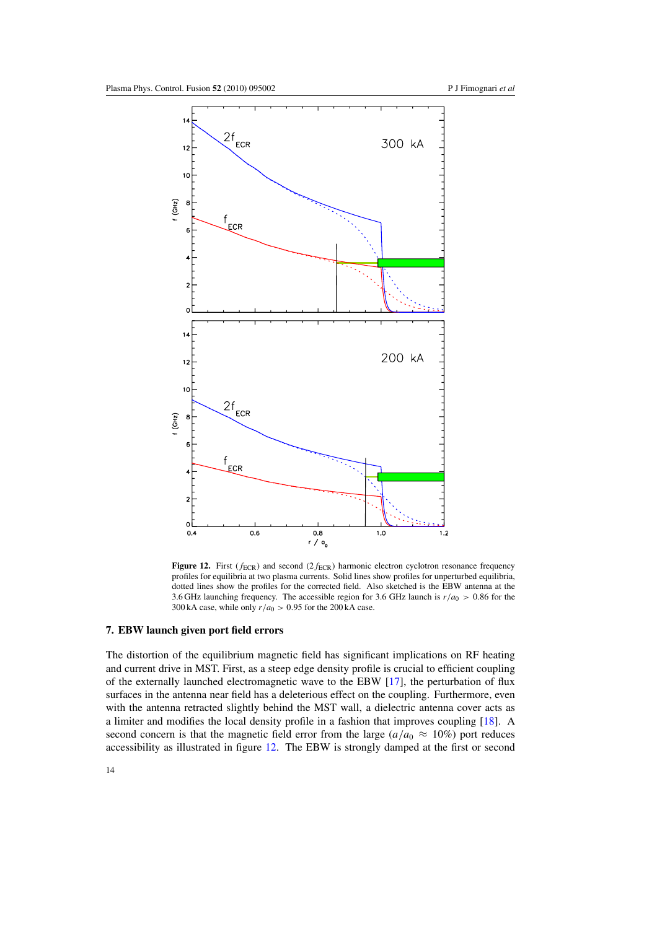<span id="page-13-0"></span>

Figure 12. First ( $f_{\text{ECR}}$ ) and second ( $2f_{\text{ECR}}$ ) harmonic electron cyclotron resonance frequency profiles for equilibria at two plasma currents. Solid lines show profiles for unperturbed equilibria, dotted lines show the profiles for the corrected field. Also sketched is the EBW antenna at the 3.6 GHz launching frequency. The accessible region for 3.6 GHz launch is  $r/a_0 > 0.86$  for the 300 kA case, while only  $r/a_0 > 0.95$  for the 200 kA case.

## **7. EBW launch given port field errors**

The distortion of the equilibrium magnetic field has significant implications on RF heating and current drive in MST. First, as a steep edge density profile is crucial to efficient coupling of the externally launched electromagnetic wave to the EBW [\[17\]](#page-16-0), the perturbation of flux surfaces in the antenna near field has a deleterious effect on the coupling. Furthermore, even with the antenna retracted slightly behind the MST wall, a dielectric antenna cover acts as a limiter and modifies the local density profile in a fashion that improves coupling [\[18\]](#page-16-0). A second concern is that the magnetic field error from the large ( $a/a_0 \approx 10\%$ ) port reduces accessibility as illustrated in figure 12. The EBW is strongly damped at the first or second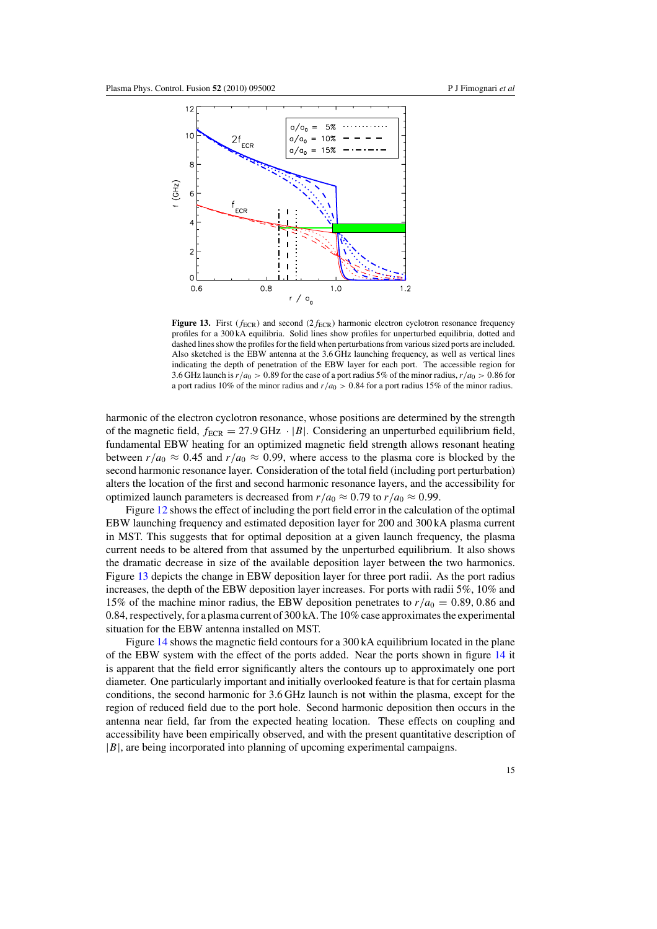

**Figure 13.** First ( $f_{ECR}$ ) and second ( $2 f_{ECR}$ ) harmonic electron cyclotron resonance frequency profiles for a 300 kA equilibria. Solid lines show profiles for unperturbed equilibria, dotted and dashed lines show the profiles for the field when perturbations from various sized ports are included. Also sketched is the EBW antenna at the 3.6 GHz launching frequency, as well as vertical lines indicating the depth of penetration of the EBW layer for each port. The accessible region for 3.6 GHz launch is  $r/a_0 > 0.89$  for the case of a port radius 5% of the minor radius,  $r/a_0 > 0.86$  for a port radius 10% of the minor radius and  $r/a_0 > 0.84$  for a port radius 15% of the minor radius.

harmonic of the electron cyclotron resonance, whose positions are determined by the strength of the magnetic field,  $f_{\text{ECR}} = 27.9 \text{ GHz} \cdot |B|$ . Considering an unperturbed equilibrium field, fundamental EBW heating for an optimized magnetic field strength allows resonant heating between  $r/a_0 \approx 0.45$  and  $r/a_0 \approx 0.99$ , where access to the plasma core is blocked by the second harmonic resonance layer. Consideration of the total field (including port perturbation) alters the location of the first and second harmonic resonance layers, and the accessibility for optimized launch parameters is decreased from  $r/a_0 \approx 0.79$  to  $r/a_0 \approx 0.99$ .

Figure [12](#page-13-0) shows the effect of including the port field error in the calculation of the optimal EBW launching frequency and estimated deposition layer for 200 and 300 kA plasma current in MST. This suggests that for optimal deposition at a given launch frequency, the plasma current needs to be altered from that assumed by the unperturbed equilibrium. It also shows the dramatic decrease in size of the available deposition layer between the two harmonics. Figure 13 depicts the change in EBW deposition layer for three port radii. As the port radius increases, the depth of the EBW deposition layer increases. For ports with radii 5%, 10% and 15% of the machine minor radius, the EBW deposition penetrates to  $r/a_0 = 0.89, 0.86$  and 0.84, respectively, for a plasma current of 300 kA. The 10% case approximates the experimental situation for the EBW antenna installed on MST.

Figure [14](#page-15-0) shows the magnetic field contours for a 300 kA equilibrium located in the plane of the EBW system with the effect of the ports added. Near the ports shown in figure [14](#page-15-0) it is apparent that the field error significantly alters the contours up to approximately one port diameter. One particularly important and initially overlooked feature is that for certain plasma conditions, the second harmonic for 3.6 GHz launch is not within the plasma, except for the region of reduced field due to the port hole. Second harmonic deposition then occurs in the antenna near field, far from the expected heating location. These effects on coupling and accessibility have been empirically observed, and with the present quantitative description of  $|B|$ , are being incorporated into planning of upcoming experimental campaigns.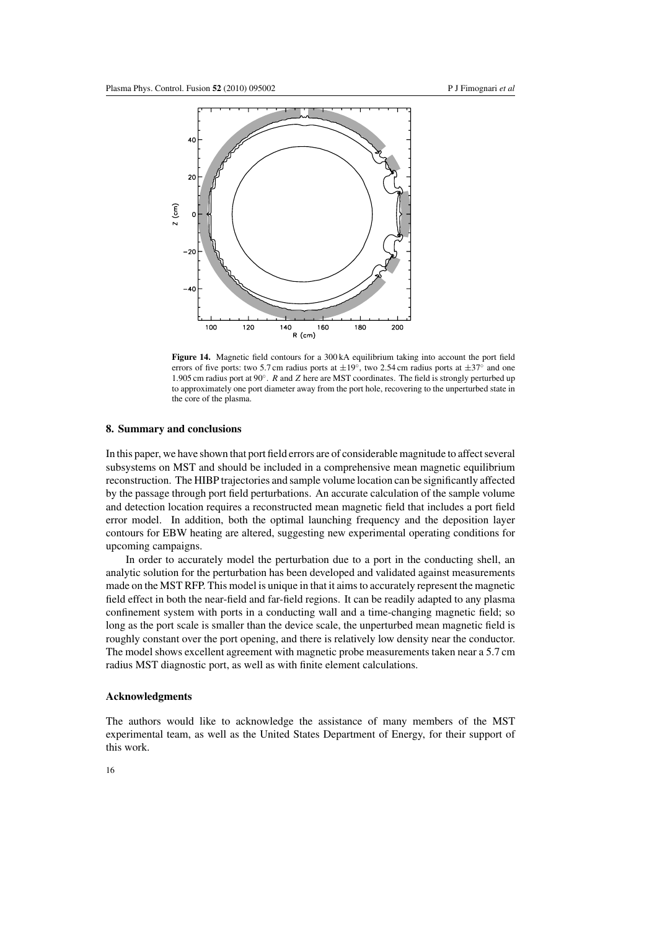<span id="page-15-0"></span>

**Figure 14.** Magnetic field contours for a 300 kA equilibrium taking into account the port field errors of five ports: two 5.7 cm radius ports at  $\pm 19°$ , two 2.54 cm radius ports at  $\pm 37°$  and one 1.905 cm radius port at 90◦. R and Z here are MST coordinates. The field is strongly perturbed up to approximately one port diameter away from the port hole, recovering to the unperturbed state in the core of the plasma.

### **8. Summary and conclusions**

In this paper, we have shown that port field errors are of considerable magnitude to affect several subsystems on MST and should be included in a comprehensive mean magnetic equilibrium reconstruction. The HIBP trajectories and sample volume location can be significantly affected by the passage through port field perturbations. An accurate calculation of the sample volume and detection location requires a reconstructed mean magnetic field that includes a port field error model. In addition, both the optimal launching frequency and the deposition layer contours for EBW heating are altered, suggesting new experimental operating conditions for upcoming campaigns.

In order to accurately model the perturbation due to a port in the conducting shell, an analytic solution for the perturbation has been developed and validated against measurements made on the MST RFP. This model is unique in that it aims to accurately represent the magnetic field effect in both the near-field and far-field regions. It can be readily adapted to any plasma confinement system with ports in a conducting wall and a time-changing magnetic field; so long as the port scale is smaller than the device scale, the unperturbed mean magnetic field is roughly constant over the port opening, and there is relatively low density near the conductor. The model shows excellent agreement with magnetic probe measurements taken near a 5.7 cm radius MST diagnostic port, as well as with finite element calculations.

#### **Acknowledgments**

The authors would like to acknowledge the assistance of many members of the MST experimental team, as well as the United States Department of Energy, for their support of this work.